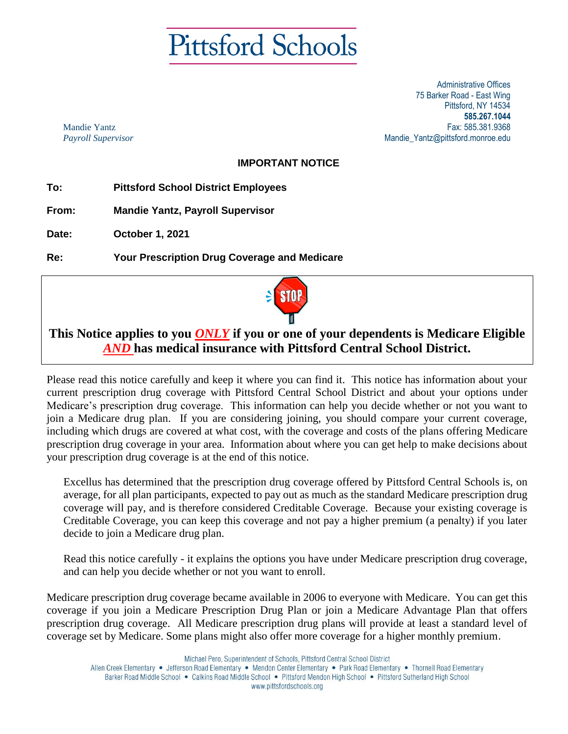# **Pittsford Schools**

Administrative Offices 75 Barker Road - East Wing Pittsford, NY 14534 **585.267.1044** Fax: 585.381.9368 Mandie\_Yantz@pittsford.monroe.edu

Mandie Yantz *Payroll Supervisor*

# **IMPORTANT NOTICE**

**To: Pittsford School District Employees**

**From: Mandie Yantz, Payroll Supervisor**

**Date: October 1, 2021**

**Re: Your Prescription Drug Coverage and Medicare**



# **This Notice applies to you** *ONLY* **if you or one of your dependents is Medicare Eligible**  *AND* **has medical insurance with Pittsford Central School District.**

Please read this notice carefully and keep it where you can find it. This notice has information about your current prescription drug coverage with Pittsford Central School District and about your options under Medicare's prescription drug coverage. This information can help you decide whether or not you want to join a Medicare drug plan. If you are considering joining, you should compare your current coverage, including which drugs are covered at what cost, with the coverage and costs of the plans offering Medicare prescription drug coverage in your area. Information about where you can get help to make decisions about your prescription drug coverage is at the end of this notice.

Excellus has determined that the prescription drug coverage offered by Pittsford Central Schools is, on average, for all plan participants, expected to pay out as much as the standard Medicare prescription drug coverage will pay, and is therefore considered Creditable Coverage. Because your existing coverage is Creditable Coverage, you can keep this coverage and not pay a higher premium (a penalty) if you later decide to join a Medicare drug plan.

Read this notice carefully - it explains the options you have under Medicare prescription drug coverage, and can help you decide whether or not you want to enroll.

Medicare prescription drug coverage became available in 2006 to everyone with Medicare. You can get this coverage if you join a Medicare Prescription Drug Plan or join a Medicare Advantage Plan that offers prescription drug coverage. All Medicare prescription drug plans will provide at least a standard level of coverage set by Medicare. Some plans might also offer more coverage for a higher monthly premium.